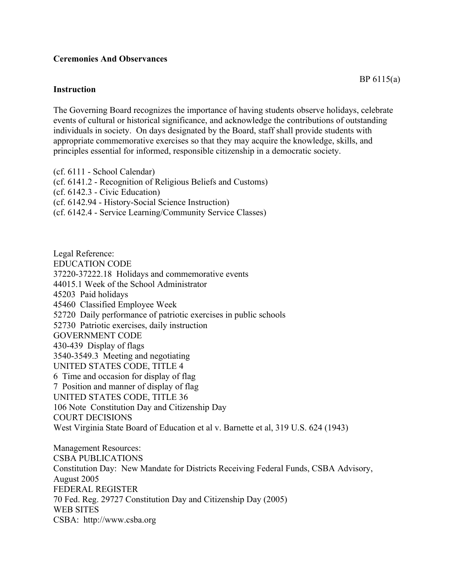## **Ceremonies And Observances**

## **Instruction**

The Governing Board recognizes the importance of having students observe holidays, celebrate events of cultural or historical significance, and acknowledge the contributions of outstanding individuals in society. On days designated by the Board, staff shall provide students with appropriate commemorative exercises so that they may acquire the knowledge, skills, and principles essential for informed, responsible citizenship in a democratic society.

(cf. 6111 - School Calendar) (cf. 6141.2 - Recognition of Religious Beliefs and Customs) (cf. 6142.3 - Civic Education) (cf. 6142.94 - History-Social Science Instruction) (cf. 6142.4 - Service Learning/Community Service Classes)

Legal Reference: EDUCATION CODE 37220-37222.18 Holidays and commemorative events 44015.1 Week of the School Administrator 45203 Paid holidays 45460 Classified Employee Week 52720 Daily performance of patriotic exercises in public schools 52730 Patriotic exercises, daily instruction GOVERNMENT CODE 430-439 Display of flags 3540-3549.3 Meeting and negotiating UNITED STATES CODE, TITLE 4 6 Time and occasion for display of flag 7 Position and manner of display of flag UNITED STATES CODE, TITLE 36 106 Note Constitution Day and Citizenship Day COURT DECISIONS West Virginia State Board of Education et al v. Barnette et al, 319 U.S. 624 (1943)

Management Resources: CSBA PUBLICATIONS Constitution Day: New Mandate for Districts Receiving Federal Funds, CSBA Advisory, August 2005 FEDERAL REGISTER 70 Fed. Reg. 29727 Constitution Day and Citizenship Day (2005) WEB SITES CSBA: http://www.csba.org